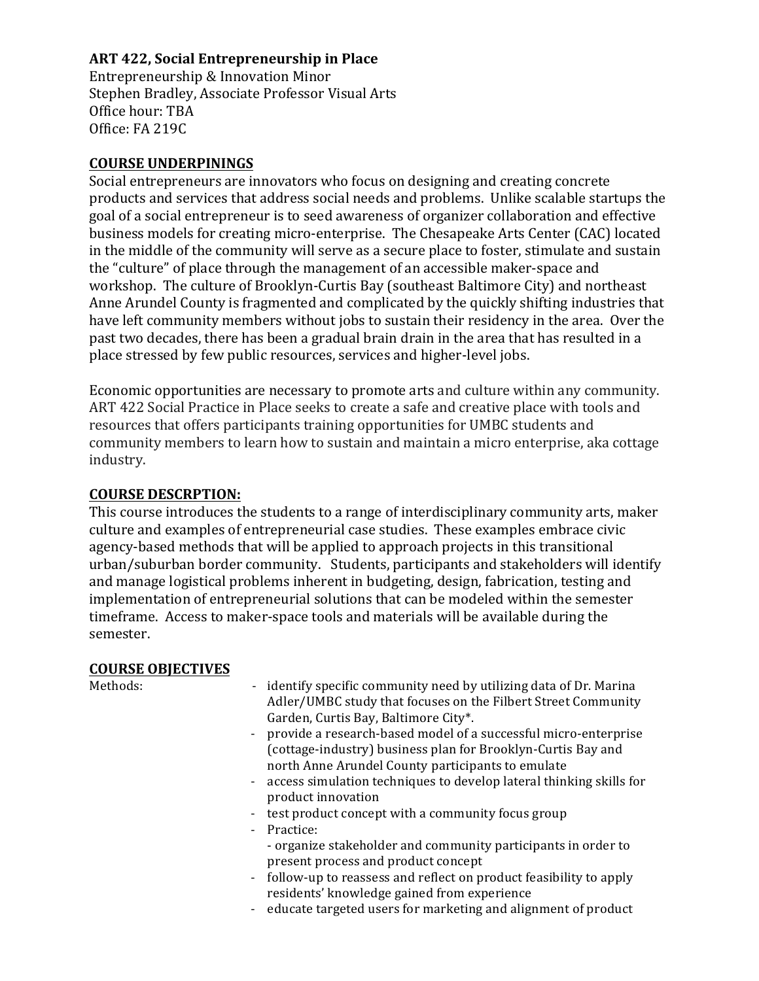# **ART 422, Social Entrepreneurship in Place**

Entrepreneurship & Innovation Minor Stephen Bradley, Associate Professor Visual Arts Office hour: TBA Office: FA 219C

# **COURSE UNDERPININGS**

Social entrepreneurs are innovators who focus on designing and creating concrete products and services that address social needs and problems. Unlike scalable startups the goal of a social entrepreneur is to seed awareness of organizer collaboration and effective business models for creating micro-enterprise. The Chesapeake Arts Center (CAC) located in the middle of the community will serve as a secure place to foster, stimulate and sustain the "culture" of place through the management of an accessible maker-space and workshop. The culture of Brooklyn-Curtis Bay (southeast Baltimore City) and northeast Anne Arundel County is fragmented and complicated by the quickly shifting industries that have left community members without jobs to sustain their residency in the area. Over the past two decades, there has been a gradual brain drain in the area that has resulted in a place stressed by few public resources, services and higher-level jobs.

Economic opportunities are necessary to promote arts and culture within any community. ART 422 Social Practice in Place seeks to create a safe and creative place with tools and resources that offers participants training opportunities for UMBC students and community members to learn how to sustain and maintain a micro enterprise, aka cottage industry. 

## **COURSE DESCRPTION:**

This course introduces the students to a range of interdisciplinary community arts, maker culture and examples of entrepreneurial case studies. These examples embrace civic agency-based methods that will be applied to approach projects in this transitional urban/suburban border community. Students, participants and stakeholders will identify and manage logistical problems inherent in budgeting, design, fabrication, testing and implementation of entrepreneurial solutions that can be modeled within the semester timeframe. Access to maker-space tools and materials will be available during the semester.

# **COURSE OBJECTIVES**

| Methods: | - identify specific community need by utilizing data of Dr. Marina                                                 |
|----------|--------------------------------------------------------------------------------------------------------------------|
|          | Adler/UMBC study that focuses on the Filbert Street Community                                                      |
|          | Garden, Curtis Bay, Baltimore City*.                                                                               |
|          | provide a research-based model of a successful micro-enterprise<br>$\sim 100$                                      |
|          | (cottage-industry) business plan for Brooklyn-Curtis Bay and                                                       |
|          | north Anne Arundel County participants to emulate                                                                  |
|          | - access simulation techniques to develop lateral thinking skills for<br>product innovation                        |
|          | test product concept with a community focus group<br>÷.                                                            |
|          | Practice:                                                                                                          |
|          | - organize stakeholder and community participants in order to<br>present process and product concept               |
|          | - follow-up to reassess and reflect on product feasibility to apply<br>residents' knowledge gained from experience |
|          |                                                                                                                    |

- educate targeted users for marketing and alignment of product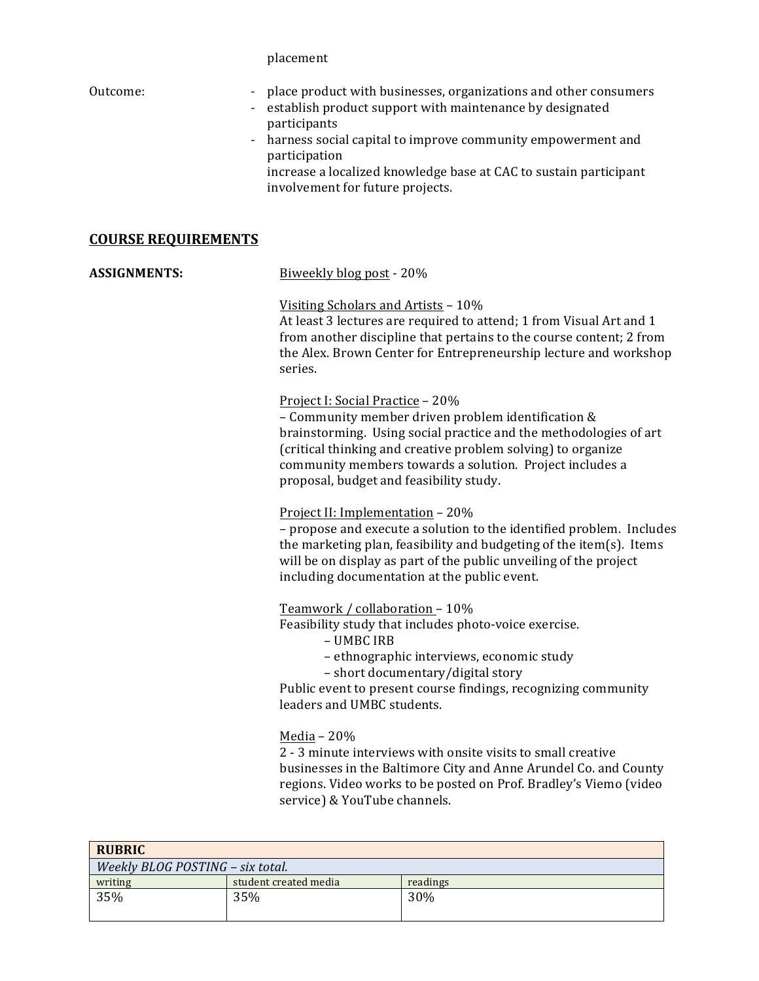placement 

| Outcome:<br>$\sim$<br>٠    | place product with businesses, organizations and other consumers<br>establish product support with maintenance by designated<br>participants<br>- harness social capital to improve community empowerment and<br>participation<br>increase a localized knowledge base at CAC to sustain participant<br>involvement for future projects. |
|----------------------------|-----------------------------------------------------------------------------------------------------------------------------------------------------------------------------------------------------------------------------------------------------------------------------------------------------------------------------------------|
| <b>COURSE REQUIREMENTS</b> |                                                                                                                                                                                                                                                                                                                                         |
| ACCICNMENTC.               | Riwaakly blog nost - 20%                                                                                                                                                                                                                                                                                                                |

**ASSIGNMENTS:** BIWEEKIY DIOG DOST - 20% Visiting Scholars and Artists - 10% At least 3 lectures are required to attend; 1 from Visual Art and 1 from another discipline that pertains to the course content; 2 from the Alex. Brown Center for Entrepreneurship lecture and workshop series. Project I: Social Practice - 20% – Community member driven problem identification & brainstorming. Using social practice and the methodologies of art (critical thinking and creative problem solving) to organize community members towards a solution. Project includes a proposal, budget and feasibility study. Project II: Implementation – 20% – propose and execute a solution to the identified problem. Includes the marketing plan, feasibility and budgeting of the item(s). Items will be on display as part of the public unveiling of the project including documentation at the public event. Teamwork / collaboration  $-10\%$ Feasibility study that includes photo-voice exercise. – UMBC IRB – ethnographic interviews, economic study – short documentary/digital story Public event to present course findings, recognizing community leaders and UMBC students. Media – 20% 2 - 3 minute interviews with onsite visits to small creative businesses in the Baltimore City and Anne Arundel Co. and County regions. Video works to be posted on Prof. Bradley's Viemo (video service) & YouTube channels.

| <b>RUBRIC</b>                    |                       |          |
|----------------------------------|-----------------------|----------|
| Weekly BLOG POSTING - six total. |                       |          |
| writing                          | student created media | readings |
| 35%                              | 35%                   | 30%      |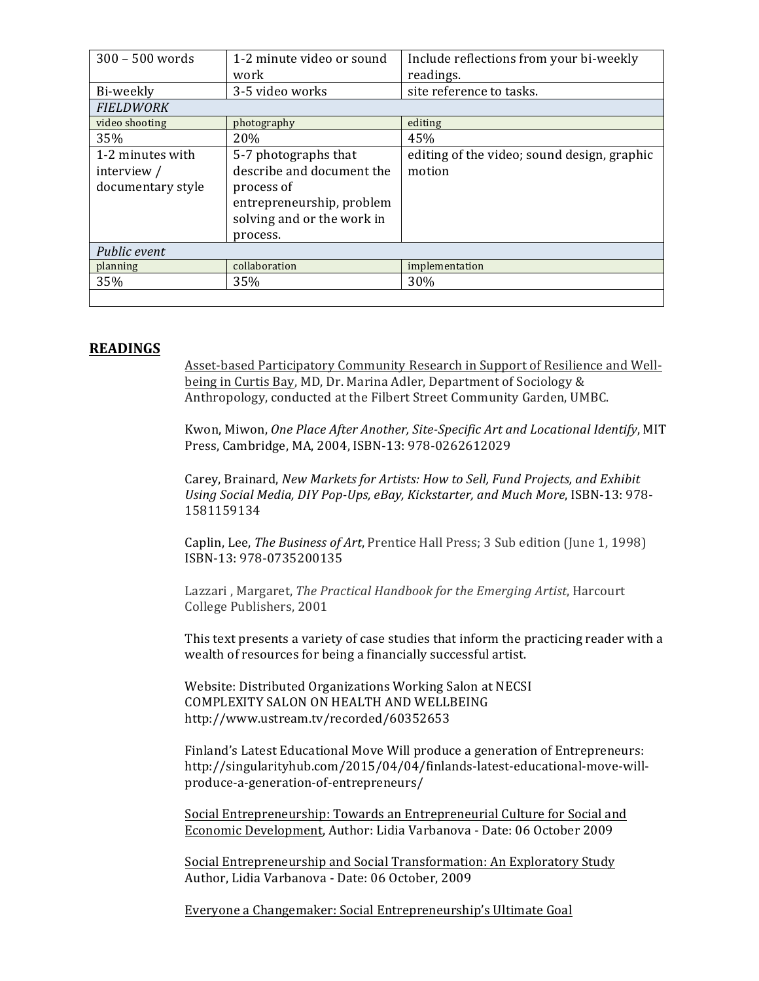| 300 - 500 words   | 1-2 minute video or sound  | Include reflections from your bi-weekly     |
|-------------------|----------------------------|---------------------------------------------|
|                   |                            |                                             |
|                   | work                       | readings.                                   |
| Bi-weekly         | 3-5 video works            | site reference to tasks.                    |
| <b>FIELDWORK</b>  |                            |                                             |
| video shooting    | photography                | editing                                     |
| 35%               | 20%                        | 45%                                         |
| 1-2 minutes with  | 5-7 photographs that       | editing of the video; sound design, graphic |
| interview $/$     | describe and document the  | motion                                      |
| documentary style | process of                 |                                             |
|                   | entrepreneurship, problem  |                                             |
|                   | solving and or the work in |                                             |
|                   |                            |                                             |
|                   | process.                   |                                             |
| Public event      |                            |                                             |
| planning          | collaboration              | implementation                              |
| 35%               | 35%                        | 30%                                         |
|                   |                            |                                             |

## **READINGS**

Asset-based Participatory Community Research in Support of Resilience and Wellbeing in Curtis Bay, MD, Dr. Marina Adler, Department of Sociology & Anthropology, conducted at the Filbert Street Community Garden, UMBC.

Kwon, Miwon, One Place After Another, Site-Specific Art and Locational Identify, MIT Press, Cambridge, MA, 2004, ISBN-13: 978-0262612029

Carey, Brainard, *New Markets for Artists: How to Sell, Fund Projects, and Exhibit* Using Social Media, DIY Pop-Ups, eBay, Kickstarter, and Much More, ISBN-13: 978-1581159134

Caplin, Lee, *The Business of Art*, Prentice Hall Press; 3 Sub edition (June 1, 1998) ISBN-13: 978-0735200135

Lazzari, Margaret, *The Practical Handbook for the Emerging Artist*, Harcourt College Publishers, 2001

This text presents a variety of case studies that inform the practicing reader with a wealth of resources for being a financially successful artist.

Website: Distributed Organizations Working Salon at NECSI COMPLEXITY SALON ON HEALTH AND WELLBEING http://www.ustream.tv/recorded/60352653

Finland's Latest Educational Move Will produce a generation of Entrepreneurs: http://singularityhub.com/2015/04/04/finlands-latest-educational-move-willproduce-a-generation-of-entrepreneurs/

Social Entrepreneurship: Towards an Entrepreneurial Culture for Social and Economic Development, Author: Lidia Varbanova - Date: 06 October 2009

Social Entrepreneurship and Social Transformation: An Exploratory Study Author, Lidia Varbanova - Date: 06 October, 2009

Everyone a Changemaker: Social Entrepreneurship's Ultimate Goal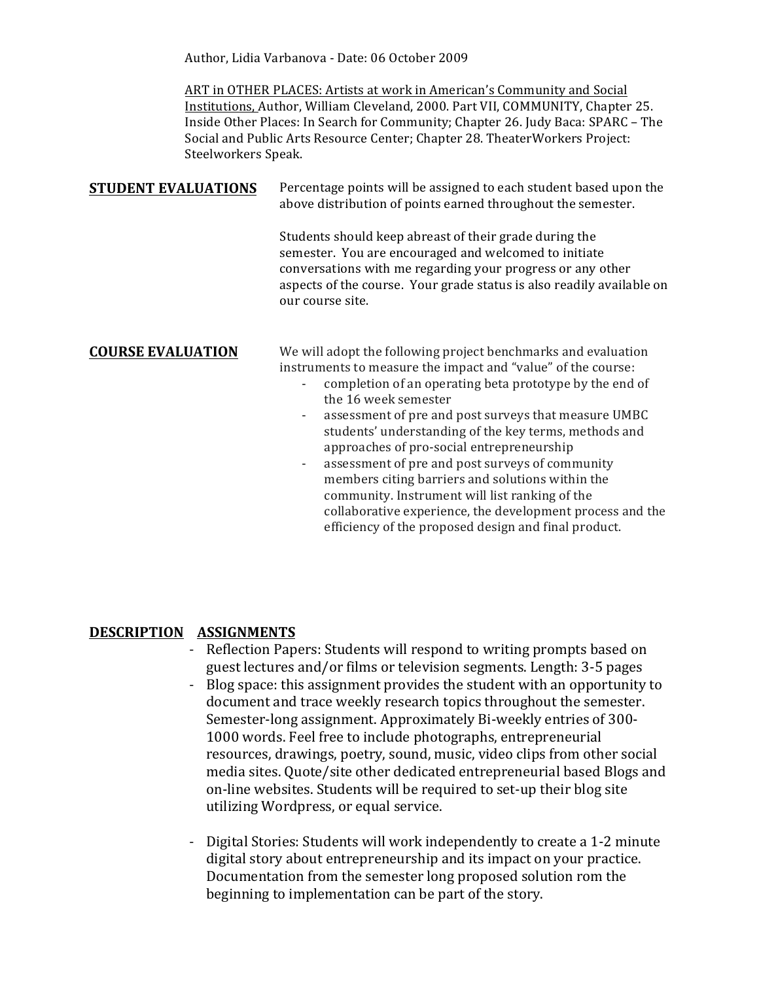Author, Lidia Varbanova - Date: 06 October 2009

ART in OTHER PLACES: Artists at work in American's Community and Social Institutions, Author, William Cleveland, 2000. Part VII, COMMUNITY, Chapter 25. Inside Other Places: In Search for Community; Chapter 26. Judy Baca: SPARC - The Social and Public Arts Resource Center; Chapter 28. TheaterWorkers Project: Steelworkers Speak.

## **STUDENT EVALUATIONS** Percentage points will be assigned to each student based upon the above distribution of points earned throughout the semester.

Students should keep abreast of their grade during the semester. You are encouraged and welcomed to initiate conversations with me regarding your progress or any other aspects of the course. Your grade status is also readily available on our course site.

**COURSE EVALUATION** We will adopt the following project benchmarks and evaluation instruments to measure the impact and "value" of the course:

- completion of an operating beta prototype by the end of the 16 week semester
- assessment of pre and post surveys that measure UMBC students' understanding of the key terms, methods and approaches of pro-social entrepreneurship
- assessment of pre and post surveys of community members citing barriers and solutions within the community. Instrument will list ranking of the collaborative experience, the development process and the efficiency of the proposed design and final product.

## **DESCRIPTION ASSIGNMENTS**

- Reflection Papers: Students will respond to writing prompts based on guest lectures and/or films or television segments. Length: 3-5 pages
- Blog space: this assignment provides the student with an opportunity to document and trace weekly research topics throughout the semester. Semester-long assignment. Approximately Bi-weekly entries of 300-1000 words. Feel free to include photographs, entrepreneurial resources, drawings, poetry, sound, music, video clips from other social media sites. Quote/site other dedicated entrepreneurial based Blogs and on-line websites. Students will be required to set-up their blog site utilizing Wordpress, or equal service.
- Digital Stories: Students will work independently to create a 1-2 minute digital story about entrepreneurship and its impact on your practice. Documentation from the semester long proposed solution rom the beginning to implementation can be part of the story.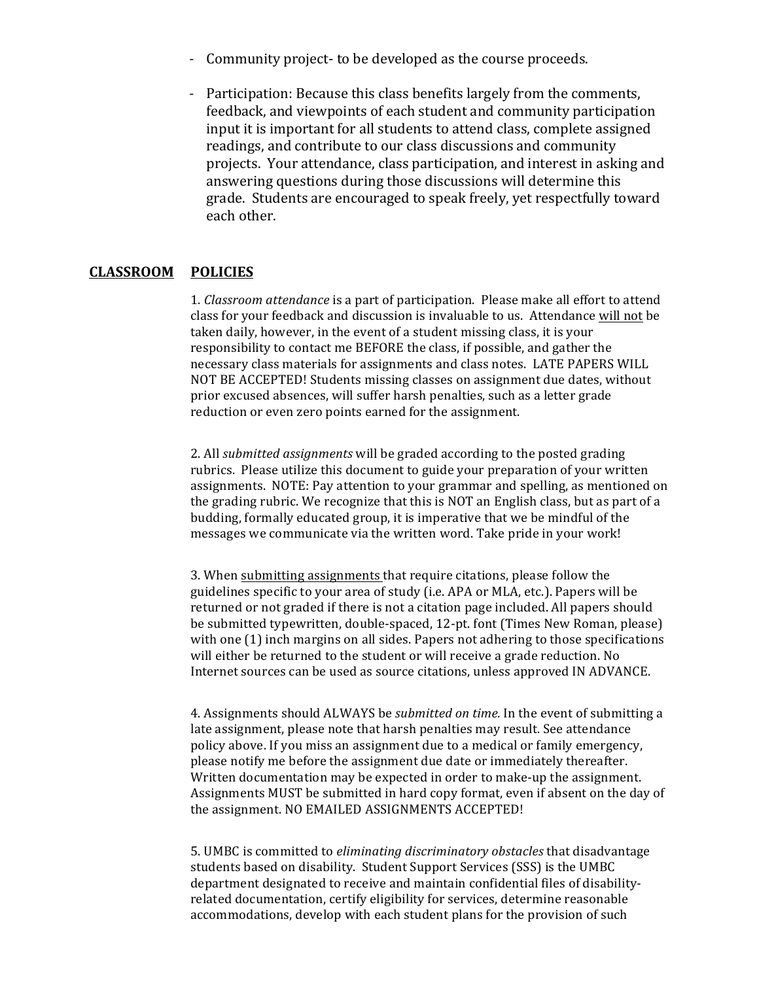- Community project- to be developed as the course proceeds.
- Participation: Because this class benefits largely from the comments, feedback, and viewpoints of each student and community participation input it is important for all students to attend class, complete assigned readings, and contribute to our class discussions and community projects. Your attendance, class participation, and interest in asking and answering questions during those discussions will determine this grade. Students are encouraged to speak freely, yet respectfully toward each other.

## **CLASSROOM POLICIES**

1. *Classroom attendance* is a part of participation. Please make all effort to attend class for your feedback and discussion is invaluable to us. Attendance will not be taken daily, however, in the event of a student missing class, it is your responsibility to contact me BEFORE the class, if possible, and gather the necessary class materials for assignments and class notes. LATE PAPERS WILL NOT BE ACCEPTED! Students missing classes on assignment due dates, without prior excused absences, will suffer harsh penalties, such as a letter grade reduction or even zero points earned for the assignment.

2. All *submitted assignments* will be graded according to the posted grading rubrics. Please utilize this document to guide your preparation of your written assignments. NOTE: Pay attention to your grammar and spelling, as mentioned on the grading rubric. We recognize that this is NOT an English class, but as part of a budding, formally educated group, it is imperative that we be mindful of the messages we communicate via the written word. Take pride in your work!

3. When submitting assignments that require citations, please follow the guidelines specific to your area of study (i.e. APA or MLA, etc.). Papers will be returned or not graded if there is not a citation page included. All papers should be submitted typewritten, double-spaced, 12-pt. font (Times New Roman, please) with one  $(1)$  inch margins on all sides. Papers not adhering to those specifications will either be returned to the student or will receive a grade reduction. No Internet sources can be used as source citations, unless approved IN ADVANCE.

4. Assignments should ALWAYS be *submitted on time.* In the event of submitting a late assignment, please note that harsh penalties may result. See attendance policy above. If you miss an assignment due to a medical or family emergency, please notify me before the assignment due date or immediately thereafter. Written documentation may be expected in order to make-up the assignment. Assignments MUST be submitted in hard copy format, even if absent on the day of the assignment. NO EMAILED ASSIGNMENTS ACCEPTED!

5. UMBC is committed to *eliminating discriminatory obstacles* that disadvantage students based on disability. Student Support Services (SSS) is the UMBC department designated to receive and maintain confidential files of disabilityrelated documentation, certify eligibility for services, determine reasonable accommodations, develop with each student plans for the provision of such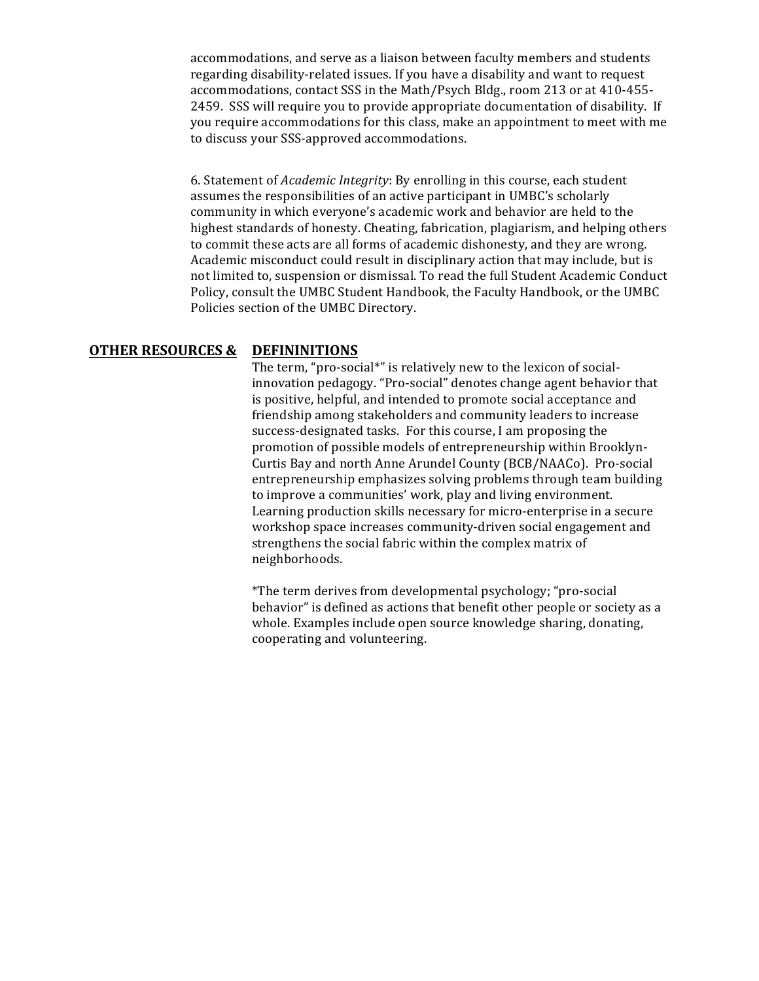accommodations, and serve as a liaison between faculty members and students regarding disability-related issues. If you have a disability and want to request accommodations, contact SSS in the Math/Psych Bldg., room 213 or at 410-455-2459. SSS will require you to provide appropriate documentation of disability. If you require accommodations for this class, make an appointment to meet with me to discuss your SSS-approved accommodations.

6. Statement of *Academic Integrity*: By enrolling in this course, each student assumes the responsibilities of an active participant in UMBC's scholarly community in which everyone's academic work and behavior are held to the highest standards of honesty. Cheating, fabrication, plagiarism, and helping others to commit these acts are all forms of academic dishonesty, and they are wrong. Academic misconduct could result in disciplinary action that may include, but is not limited to, suspension or dismissal. To read the full Student Academic Conduct Policy, consult the UMBC Student Handbook, the Faculty Handbook, or the UMBC Policies section of the UMBC Directory.

## **OTHER RESOURCES & DEFININITIONS**

The term, "pro-social\*" is relatively new to the lexicon of socialinnovation pedagogy. "Pro-social" denotes change agent behavior that is positive, helpful, and intended to promote social acceptance and friendship among stakeholders and community leaders to increase success-designated tasks. For this course, I am proposing the promotion of possible models of entrepreneurship within Brooklyn-Curtis Bay and north Anne Arundel County (BCB/NAACo). Pro-social entrepreneurship emphasizes solving problems through team building to improve a communities' work, play and living environment. Learning production skills necessary for micro-enterprise in a secure workshop space increases community-driven social engagement and strengthens the social fabric within the complex matrix of neighborhoods.

\*The term derives from developmental psychology; "pro-social behavior" is defined as actions that benefit other people or society as a whole. Examples include open source knowledge sharing, donating, cooperating and volunteering.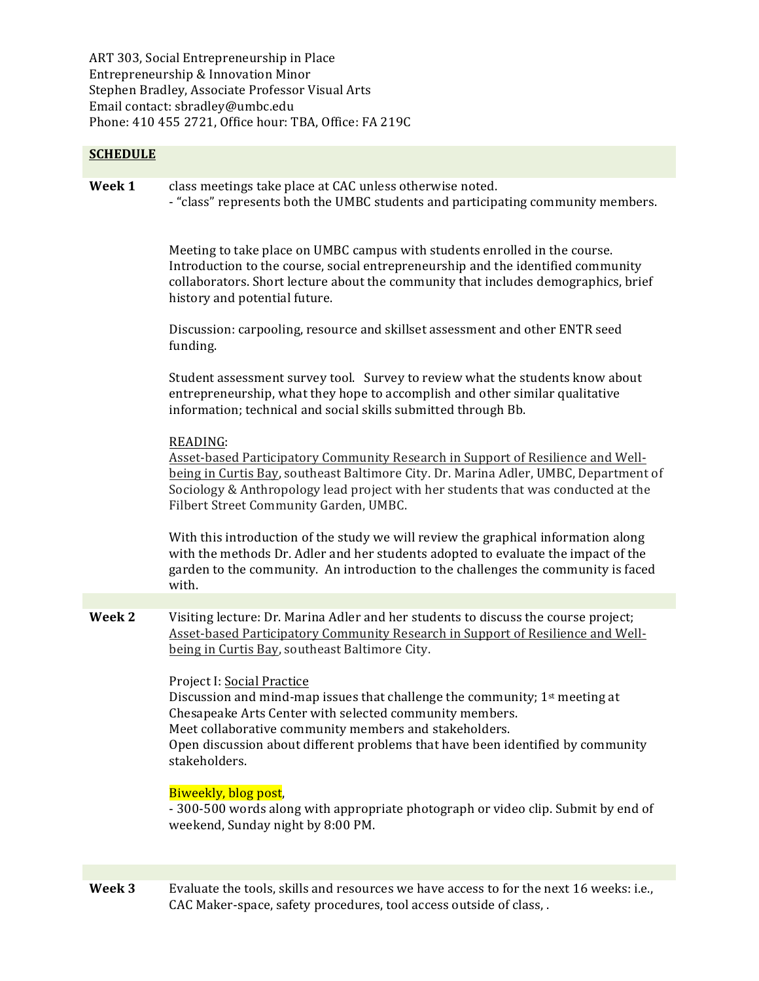ART 303, Social Entrepreneurship in Place Entrepreneurship & Innovation Minor Stephen Bradley, Associate Professor Visual Arts Email contact: sbradley@umbc.edu Phone: 410 455 2721, Office hour: TBA, Office: FA 219C

## **SCHEDULE**

**Week 1** class meetings take place at CAC unless otherwise noted. - "class" represents both the UMBC students and participating community members.

> Meeting to take place on UMBC campus with students enrolled in the course. Introduction to the course, social entrepreneurship and the identified community collaborators. Short lecture about the community that includes demographics, brief history and potential future.

Discussion: carpooling, resource and skillset assessment and other ENTR seed funding. 

Student assessment survey tool. Survey to review what the students know about entrepreneurship, what they hope to accomplish and other similar qualitative information; technical and social skills submitted through Bb.

#### READING:

Asset-based Participatory Community Research in Support of Resilience and Wellbeing in Curtis Bay, southeast Baltimore City. Dr. Marina Adler, UMBC, Department of Sociology & Anthropology lead project with her students that was conducted at the Filbert Street Community Garden, UMBC.

With this introduction of the study we will review the graphical information along with the methods Dr. Adler and her students adopted to evaluate the impact of the garden to the community. An introduction to the challenges the community is faced with.

**Week 2** Visiting lecture: Dr. Marina Adler and her students to discuss the course project; Asset-based Participatory Community Research in Support of Resilience and Wellbeing in Curtis Bay, southeast Baltimore City.

#### Project I: Social Practice

Discussion and mind-map issues that challenge the community;  $1<sup>st</sup>$  meeting at Chesapeake Arts Center with selected community members. Meet collaborative community members and stakeholders. Open discussion about different problems that have been identified by community stakeholders. 

#### Biweekly, blog post,

- 300-500 words along with appropriate photograph or video clip. Submit by end of weekend, Sunday night by 8:00 PM.

**Week 3** Evaluate the tools, skills and resources we have access to for the next 16 weeks: i.e., CAC Maker-space, safety procedures, tool access outside of class, .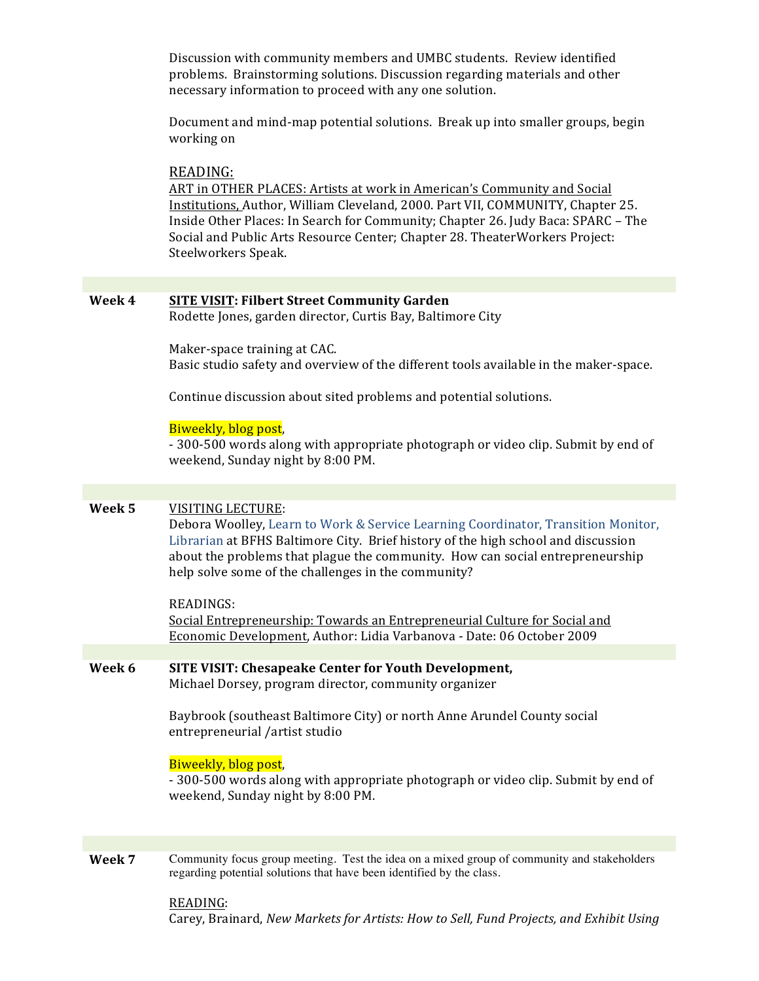Discussion with community members and UMBC students. Review identified problems. Brainstorming solutions. Discussion regarding materials and other necessary information to proceed with any one solution.

Document and mind-map potential solutions. Break up into smaller groups, begin working on

#### READING:

ART in OTHER PLACES: Artists at work in American's Community and Social Institutions, Author, William Cleveland, 2000. Part VII, COMMUNITY, Chapter 25. Inside Other Places: In Search for Community; Chapter 26. Judy Baca: SPARC - The Social and Public Arts Resource Center; Chapter 28. TheaterWorkers Project: Steelworkers Speak.

| Week 4 | <b>SITE VISIT: Filbert Street Community Garden</b><br>Rodette Jones, garden director, Curtis Bay, Baltimore City                                                                                                                                                                                                                           |
|--------|--------------------------------------------------------------------------------------------------------------------------------------------------------------------------------------------------------------------------------------------------------------------------------------------------------------------------------------------|
|        | Maker-space training at CAC.<br>Basic studio safety and overview of the different tools available in the maker-space.                                                                                                                                                                                                                      |
|        | Continue discussion about sited problems and potential solutions.                                                                                                                                                                                                                                                                          |
|        | Biweekly, blog post,<br>- 300-500 words along with appropriate photograph or video clip. Submit by end of<br>weekend, Sunday night by 8:00 PM.                                                                                                                                                                                             |
|        |                                                                                                                                                                                                                                                                                                                                            |
| Week 5 | <b>VISITING LECTURE:</b><br>Debora Woolley, Learn to Work & Service Learning Coordinator, Transition Monitor,<br>Librarian at BFHS Baltimore City. Brief history of the high school and discussion<br>about the problems that plague the community. How can social entrepreneurship<br>help solve some of the challenges in the community? |
|        | <b>READINGS:</b><br>Social Entrepreneurship: Towards an Entrepreneurial Culture for Social and<br>Economic Development, Author: Lidia Varbanova - Date: 06 October 2009                                                                                                                                                                    |
|        |                                                                                                                                                                                                                                                                                                                                            |
| Week 6 | <b>SITE VISIT: Chesapeake Center for Youth Development,</b><br>Michael Dorsey, program director, community organizer                                                                                                                                                                                                                       |
|        | Baybrook (southeast Baltimore City) or north Anne Arundel County social<br>entrepreneurial /artist studio                                                                                                                                                                                                                                  |
|        | Biweekly, blog post,<br>- 300-500 words along with appropriate photograph or video clip. Submit by end of<br>weekend, Sunday night by 8:00 PM.                                                                                                                                                                                             |
|        |                                                                                                                                                                                                                                                                                                                                            |
| Week 7 | Community focus group meeting. Test the idea on a mixed group of community and stakeholders<br>regarding potential solutions that have been identified by the class.                                                                                                                                                                       |

READING: Carey, Brainard, New Markets for Artists: How to Sell, Fund Projects, and Exhibit Using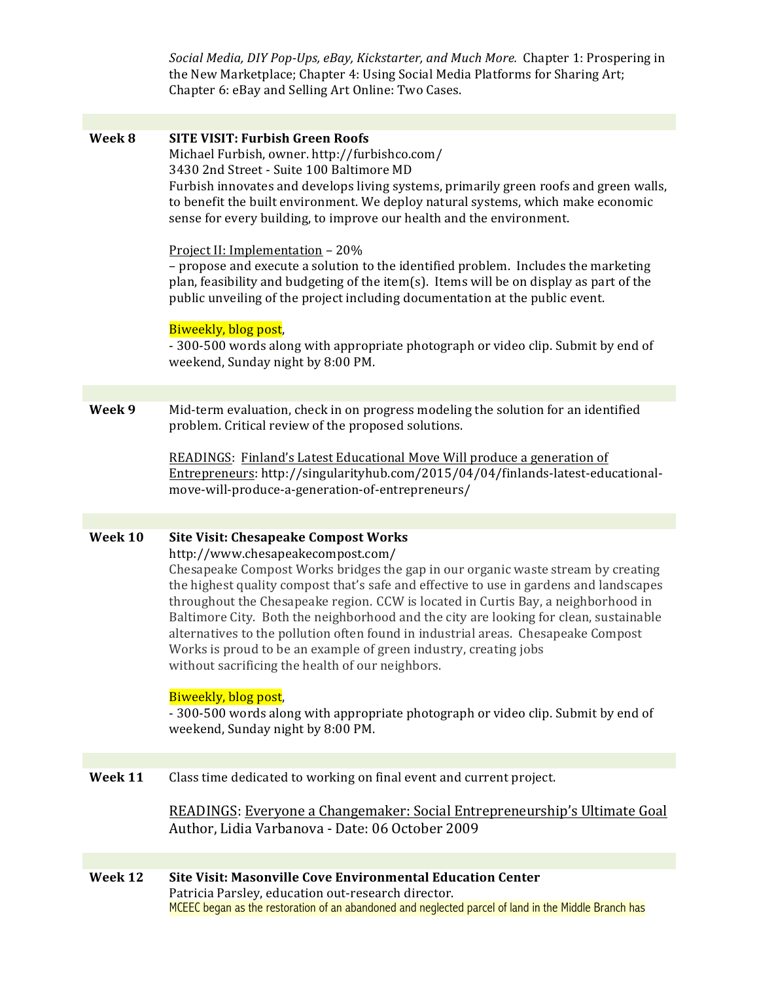Social Media, DIY Pop-Ups, eBay, Kickstarter, and Much More. Chapter 1: Prospering in the New Marketplace; Chapter 4: Using Social Media Platforms for Sharing Art; Chapter 6: eBay and Selling Art Online: Two Cases.

| Week 8  | <b>SITE VISIT: Furbish Green Roofs</b><br>Michael Furbish, owner. http://furbishco.com/<br>3430 2nd Street - Suite 100 Baltimore MD<br>Furbish innovates and develops living systems, primarily green roofs and green walls,<br>to benefit the built environment. We deploy natural systems, which make economic<br>sense for every building, to improve our health and the environment.<br>Project II: Implementation - 20%<br>- propose and execute a solution to the identified problem. Includes the marketing<br>plan, feasibility and budgeting of the item(s). Items will be on display as part of the<br>public unveiling of the project including documentation at the public event.<br>Biweekly, blog post,<br>- 300-500 words along with appropriate photograph or video clip. Submit by end of<br>weekend, Sunday night by 8:00 PM. |
|---------|-------------------------------------------------------------------------------------------------------------------------------------------------------------------------------------------------------------------------------------------------------------------------------------------------------------------------------------------------------------------------------------------------------------------------------------------------------------------------------------------------------------------------------------------------------------------------------------------------------------------------------------------------------------------------------------------------------------------------------------------------------------------------------------------------------------------------------------------------|
|         |                                                                                                                                                                                                                                                                                                                                                                                                                                                                                                                                                                                                                                                                                                                                                                                                                                                 |
| Week 9  | Mid-term evaluation, check in on progress modeling the solution for an identified<br>problem. Critical review of the proposed solutions.<br>READINGS: Finland's Latest Educational Move Will produce a generation of<br>Entrepreneurs: http://singularityhub.com/2015/04/04/finlands-latest-educational-<br>move-will-produce-a-generation-of-entrepreneurs/                                                                                                                                                                                                                                                                                                                                                                                                                                                                                    |
|         |                                                                                                                                                                                                                                                                                                                                                                                                                                                                                                                                                                                                                                                                                                                                                                                                                                                 |
| Week 10 | <b>Site Visit: Chesapeake Compost Works</b><br>http://www.chesapeakecompost.com/<br>Chesapeake Compost Works bridges the gap in our organic waste stream by creating<br>the highest quality compost that's safe and effective to use in gardens and landscapes<br>throughout the Chesapeake region. CCW is located in Curtis Bay, a neighborhood in<br>Baltimore City. Both the neighborhood and the city are looking for clean, sustainable<br>alternatives to the pollution often found in industrial areas. Chesapeake Compost<br>Works is proud to be an example of green industry, creating jobs<br>without sacrificing the health of our neighbors.<br>Biweekly, blog post,<br>- 300-500 words along with appropriate photograph or video clip. Submit by end of<br>weekend, Sunday night by 8:00 PM.                                     |
|         |                                                                                                                                                                                                                                                                                                                                                                                                                                                                                                                                                                                                                                                                                                                                                                                                                                                 |
| Week 11 | Class time dedicated to working on final event and current project.<br>READINGS: Everyone a Changemaker: Social Entrepreneurship's Ultimate Goal<br>Author, Lidia Varbanova - Date: 06 October 2009                                                                                                                                                                                                                                                                                                                                                                                                                                                                                                                                                                                                                                             |
|         |                                                                                                                                                                                                                                                                                                                                                                                                                                                                                                                                                                                                                                                                                                                                                                                                                                                 |
| Week 12 | Site Visit: Masonville Cove Environmental Education Center<br>Patricia Parsley, education out-research director.<br>MCEEC began as the restoration of an abandoned and neglected parcel of land in the Middle Branch has                                                                                                                                                                                                                                                                                                                                                                                                                                                                                                                                                                                                                        |